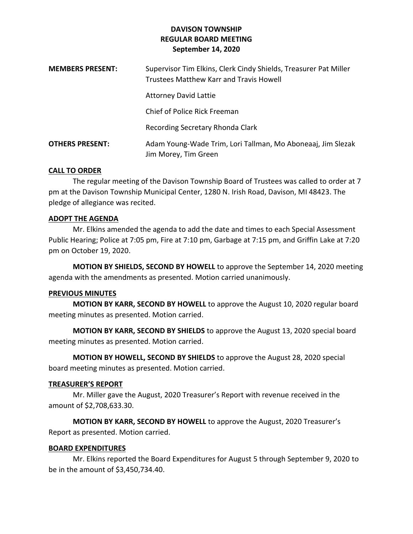| <b>MEMBERS PRESENT:</b> | Supervisor Tim Elkins, Clerk Cindy Shields, Treasurer Pat Miller<br>Trustees Matthew Karr and Travis Howell |
|-------------------------|-------------------------------------------------------------------------------------------------------------|
|                         | <b>Attorney David Lattie</b>                                                                                |
|                         | Chief of Police Rick Freeman                                                                                |
|                         | Recording Secretary Rhonda Clark                                                                            |
| <b>OTHERS PRESENT:</b>  | Adam Young-Wade Trim, Lori Tallman, Mo Aboneaaj, Jim Slezak<br>Jim Morey, Tim Green                         |

### **CALL TO ORDER**

The regular meeting of the Davison Township Board of Trustees was called to order at 7 pm at the Davison Township Municipal Center, 1280 N. Irish Road, Davison, MI 48423. The pledge of allegiance was recited.

#### **ADOPT THE AGENDA**

Mr. Elkins amended the agenda to add the date and times to each Special Assessment Public Hearing; Police at 7:05 pm, Fire at 7:10 pm, Garbage at 7:15 pm, and Griffin Lake at 7:20 pm on October 19, 2020.

**MOTION BY SHIELDS, SECOND BY HOWELL** to approve the September 14, 2020 meeting agenda with the amendments as presented. Motion carried unanimously.

#### **PREVIOUS MINUTES**

**MOTION BY KARR, SECOND BY HOWELL** to approve the August 10, 2020 regular board meeting minutes as presented. Motion carried.

**MOTION BY KARR, SECOND BY SHIELDS** to approve the August 13, 2020 special board meeting minutes as presented. Motion carried.

**MOTION BY HOWELL, SECOND BY SHIELDS** to approve the August 28, 2020 special board meeting minutes as presented. Motion carried.

#### **TREASURER'S REPORT**

Mr. Miller gave the August, 2020 Treasurer's Report with revenue received in the amount of \$2,708,633.30.

**MOTION BY KARR, SECOND BY HOWELL** to approve the August, 2020 Treasurer's Report as presented. Motion carried.

### **BOARD EXPENDITURES**

Mr. Elkins reported the Board Expenditures for August 5 through September 9, 2020 to be in the amount of \$3,450,734.40.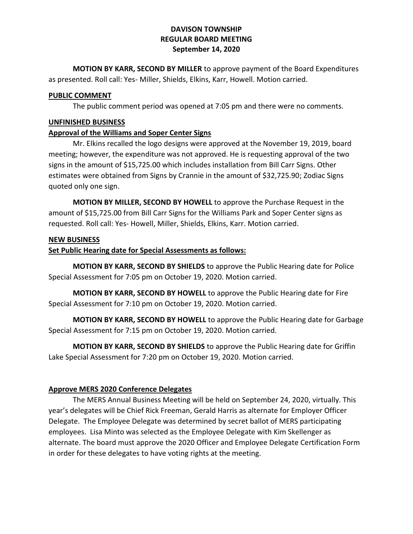**MOTION BY KARR, SECOND BY MILLER** to approve payment of the Board Expenditures as presented. Roll call: Yes- Miller, Shields, Elkins, Karr, Howell. Motion carried.

### **PUBLIC COMMENT**

The public comment period was opened at 7:05 pm and there were no comments.

## **UNFINISHED BUSINESS**

### **Approval of the Williams and Soper Center Signs**

Mr. Elkins recalled the logo designs were approved at the November 19, 2019, board meeting; however, the expenditure was not approved. He is requesting approval of the two signs in the amount of \$15,725.00 which includes installation from Bill Carr Signs. Other estimates were obtained from Signs by Crannie in the amount of \$32,725.90; Zodiac Signs quoted only one sign.

**MOTION BY MILLER, SECOND BY HOWELL** to approve the Purchase Request in the amount of \$15,725.00 from Bill Carr Signs for the Williams Park and Soper Center signs as requested. Roll call: Yes- Howell, Miller, Shields, Elkins, Karr. Motion carried.

### **NEW BUSINESS**

# **Set Public Hearing date for Special Assessments as follows:**

**MOTION BY KARR, SECOND BY SHIELDS** to approve the Public Hearing date for Police Special Assessment for 7:05 pm on October 19, 2020. Motion carried.

**MOTION BY KARR, SECOND BY HOWELL** to approve the Public Hearing date for Fire Special Assessment for 7:10 pm on October 19, 2020. Motion carried.

**MOTION BY KARR, SECOND BY HOWELL** to approve the Public Hearing date for Garbage Special Assessment for 7:15 pm on October 19, 2020. Motion carried.

**MOTION BY KARR, SECOND BY SHIELDS** to approve the Public Hearing date for Griffin Lake Special Assessment for 7:20 pm on October 19, 2020. Motion carried.

# **Approve MERS 2020 Conference Delegates**

The MERS Annual Business Meeting will be held on September 24, 2020, virtually. This year's delegates will be Chief Rick Freeman, Gerald Harris as alternate for Employer Officer Delegate. The Employee Delegate was determined by secret ballot of MERS participating employees. Lisa Minto was selected as the Employee Delegate with Kim Skellenger as alternate. The board must approve the 2020 Officer and Employee Delegate Certification Form in order for these delegates to have voting rights at the meeting.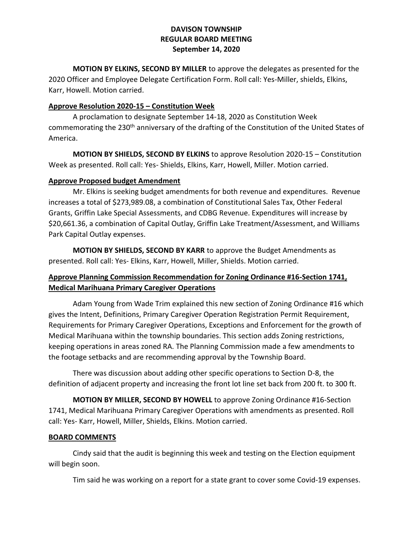**MOTION BY ELKINS, SECOND BY MILLER** to approve the delegates as presented for the 2020 Officer and Employee Delegate Certification Form. Roll call: Yes-Miller, shields, Elkins, Karr, Howell. Motion carried.

## **Approve Resolution 2020-15 – Constitution Week**

A proclamation to designate September 14-18, 2020 as Constitution Week commemorating the 230<sup>th</sup> anniversary of the drafting of the Constitution of the United States of America.

**MOTION BY SHIELDS, SECOND BY ELKINS** to approve Resolution 2020-15 – Constitution Week as presented. Roll call: Yes- Shields, Elkins, Karr, Howell, Miller. Motion carried.

# **Approve Proposed budget Amendment**

Mr. Elkins is seeking budget amendments for both revenue and expenditures. Revenue increases a total of \$273,989.08, a combination of Constitutional Sales Tax, Other Federal Grants, Griffin Lake Special Assessments, and CDBG Revenue. Expenditures will increase by \$20,661.36, a combination of Capital Outlay, Griffin Lake Treatment/Assessment, and Williams Park Capital Outlay expenses.

**MOTION BY SHIELDS, SECOND BY KARR** to approve the Budget Amendments as presented. Roll call: Yes- Elkins, Karr, Howell, Miller, Shields. Motion carried.

# **Approve Planning Commission Recommendation for Zoning Ordinance #16-Section 1741, Medical Marihuana Primary Caregiver Operations**

Adam Young from Wade Trim explained this new section of Zoning Ordinance #16 which gives the Intent, Definitions, Primary Caregiver Operation Registration Permit Requirement, Requirements for Primary Caregiver Operations, Exceptions and Enforcement for the growth of Medical Marihuana within the township boundaries. This section adds Zoning restrictions, keeping operations in areas zoned RA. The Planning Commission made a few amendments to the footage setbacks and are recommending approval by the Township Board.

There was discussion about adding other specific operations to Section D-8, the definition of adjacent property and increasing the front lot line set back from 200 ft. to 300 ft.

**MOTION BY MILLER, SECOND BY HOWELL** to approve Zoning Ordinance #16-Section 1741, Medical Marihuana Primary Caregiver Operations with amendments as presented. Roll call: Yes- Karr, Howell, Miller, Shields, Elkins. Motion carried.

### **BOARD COMMENTS**

Cindy said that the audit is beginning this week and testing on the Election equipment will begin soon.

Tim said he was working on a report for a state grant to cover some Covid-19 expenses.